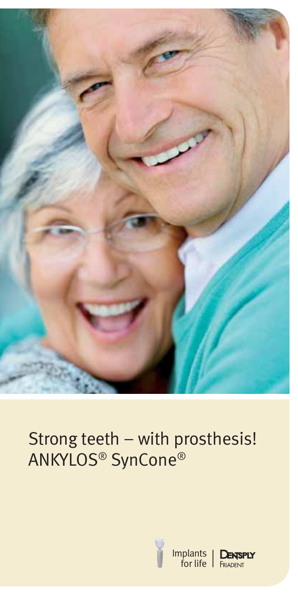

# Strong teeth – with prosthesis! ANKYLOS® SynCone®



Implants for life

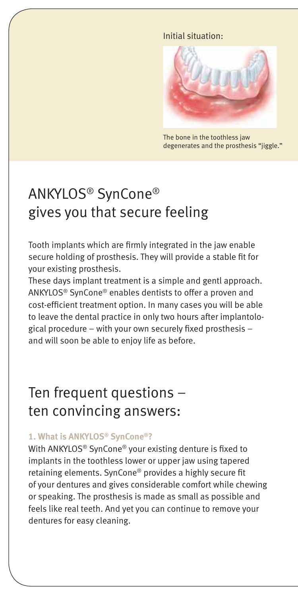#### **vorher:** Initial situation:



The bone in the toothless jaw degenerates and the prosthesis "jiggle."

## ANKYLOS® SynCone® gives you that secure feeling

Tooth implants which are firmly integrated in the jaw enable secure holding of prosthesis. They will provide a stable fit for your existing prosthesis.

These days implant treatment is a simple and gentl approach. ANKYLOS® SynCone® enables dentists to offer a proven and cost-efficient treatment option. In many cases you will be able to leave the dental practice in only two hours after implantological procedure – with your own securely fixed prosthesis – and will soon be able to enjoy life as before.

### Ten frequent questions – ten convincing answers:

#### **1. What is ANKYLOS® SynCone®?**

With ANKYLOS<sup>®</sup> SynCone<sup>®</sup> your existing denture is fixed to implants in the toothless lower or upper jaw using tapered retaining elements. SynCone® provides a highly secure fit of your dentures and gives considerable comfort while chewing or speaking. The prosthesis is made as small as possible and feels like real teeth. And yet you can continue to remove your dentures for easy cleaning.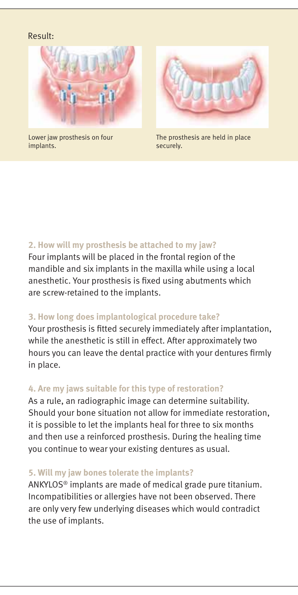#### Result: **nachher:**



Lower jaw prosthesis on four implants.



The prosthesis are held in place securely.

#### **2. How will my prosthesis be attached to my jaw?**

Four implants will be placed in the frontal region of the mandible and six implants in the maxilla while using a local anesthetic. Your prosthesis is fixed using abutments which are screw-retained to the implants.

#### **3. How long does implantological procedure take?**

Your prosthesis is fitted securely immediately after implantation, while the anesthetic is still in effect. After approximately two hours you can leave the dental practice with your dentures firmly in place.

#### **4. Are my jaws suitable for this type of restoration?**

As a rule, an radiographic image can determine suitability. Should your bone situation not allow for immediate restoration, it is possible to let the implants heal for three to six months and then use a reinforced prosthesis. During the healing time you continue to wear your existing dentures as usual.

#### **5. Will my jaw bones tolerate the implants?**

ANKYLOS® implants are made of medical grade pure titanium. Incompatibilities or allergies have not been observed. There are only very few underlying diseases which would contradict the use of implants.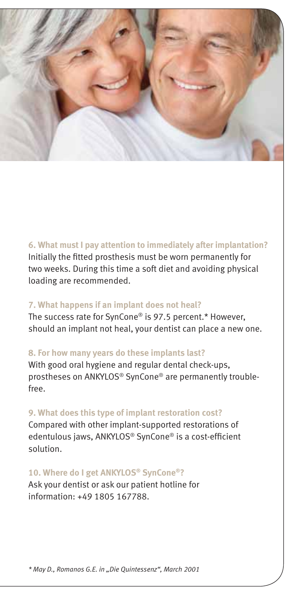

#### **6. What must I pay attention to immediately after implantation?**

Initially the fitted prosthesis must be worn permanently for two weeks. During this time a soft diet and avoiding physical loading are recommended.

#### **7. What happens if an implant does not heal?**

The success rate for SynCone® is 97.5 percent.\* However, should an implant not heal, your dentist can place a new one.

#### **8. For how many years do these implants last?**

With good oral hygiene and regular dental check-ups, prostheses on ANKYLOS® SynCone® are permanently troublefree.

#### **9. What does this type of implant restoration cost?**

Compared with other implant-supported restorations of edentulous jaws, ANKYLOS® SynCone® is a cost-efficient solution.

#### **10. Where do I get ANKYLOS® SynCone®?**

Ask your dentist or ask our patient hotline for information: +49 1805 167788.

*\* May D., Romanos G.E. in "Die Quintessenz", March 2001*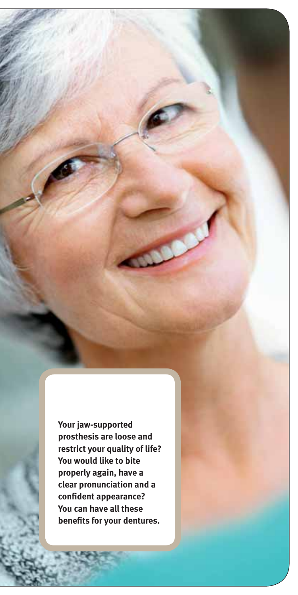**Your jaw-supported prosthesis are loose and restrict your quality of life? You would like to bite properly again, have a clear pronunciation and a**  confident appearance? **You can have all these benefits for your dentures.**